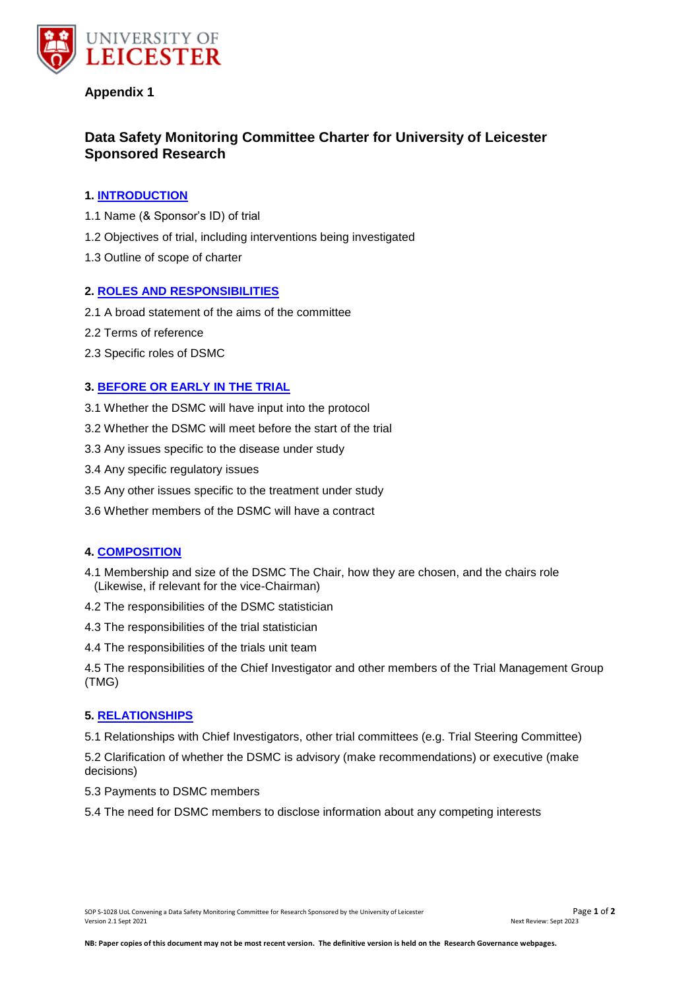

# **Appendix 1**

# **Data Safety Monitoring Committee Charter for University of Leicester Sponsored Research**

# **1. [INTRODUCTION](file:///C:/Users/wg4/AppData/Local/Microsoft/Windows/SOPs%20&%20Forms/DSMC/Data%20Safety%20Monitoring%20Committee%20Charter%20for%20University%20of%20Leicester%20Sponsored%20Research%20DRAFT1.docx%23_top)**

- 1.1 Name (& Sponsor's ID) of trial
- 1.2 Objectives of trial, including interventions being investigated
- 1.3 Outline of scope of charter

### **2. [ROLES AND RESPONSIBILITIES](file:///C:/Users/wg4/AppData/Local/Microsoft/Windows/SOPs%20&%20Forms/DSMC/Data%20Safety%20Monitoring%20Committee%20Charter%20for%20University%20of%20Leicester%20Sponsored%20Research%20DRAFT1.docx%23_top)**

- 2.1 A broad statement of the aims of the committee
- 2.2 Terms of reference
- 2.3 Specific roles of DSMC

# **3. [BEFORE OR EARLY IN THE TRIAL](file:///C:/Users/wg4/AppData/Local/Microsoft/Windows/SOPs%20&%20Forms/DSMC/Data%20Safety%20Monitoring%20Committee%20Charter%20for%20University%20of%20Leicester%20Sponsored%20Research%20DRAFT1.docx%23_top)**

- 3.1 Whether the DSMC will have input into the protocol
- 3.2 Whether the DSMC will meet before the start of the trial
- 3.3 Any issues specific to the disease under study
- 3.4 Any specific regulatory issues
- 3.5 Any other issues specific to the treatment under study
- 3.6 Whether members of the DSMC will have a contract

# **4. [COMPOSITION](file:///C:/Users/wg4/AppData/Local/Microsoft/Windows/SOPs%20&%20Forms/DSMC/Data%20Safety%20Monitoring%20Committee%20Charter%20for%20University%20of%20Leicester%20Sponsored%20Research%20DRAFT1.docx%23_top)**

- 4.1 Membership and size of the DSMC The Chair, how they are chosen, and the chairs role (Likewise, if relevant for the vice-Chairman)
- 4.2 The responsibilities of the DSMC statistician
- 4.3 The responsibilities of the trial statistician
- 4.4 The responsibilities of the trials unit team

4.5 The responsibilities of the Chief Investigator and other members of the Trial Management Group (TMG)

#### **5. [RELATIONSHIPS](file:///C:/Users/wg4/AppData/Local/Microsoft/Windows/SOPs%20&%20Forms/DSMC/Data%20Safety%20Monitoring%20Committee%20Charter%20for%20University%20of%20Leicester%20Sponsored%20Research%20DRAFT1.docx%23_top)**

5.1 Relationships with Chief Investigators, other trial committees (e.g. Trial Steering Committee)

5.2 Clarification of whether the DSMC is advisory (make recommendations) or executive (make decisions)

5.3 Payments to DSMC members

5.4 The need for DSMC members to disclose information about any competing interests